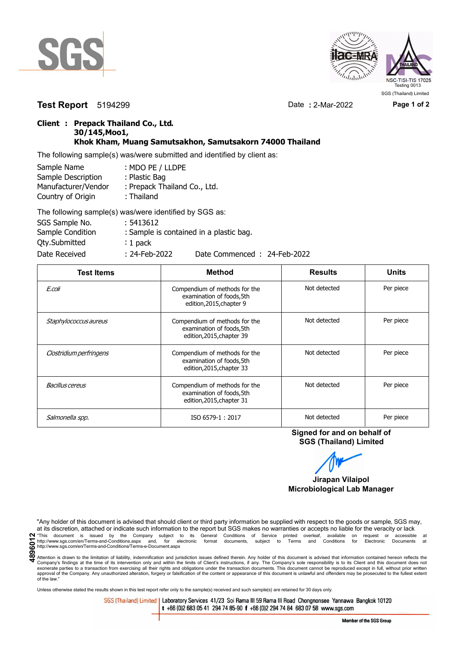



**Test Report** 5194299 Date **:** 2-Mar-2022 **Page 1 of 2**

## **Client : Prepack Thailand Co., Ltd. 30/145,Moo1, Khok Kham, Muang Samutsakhon, Samutsakorn 74000 Thailand**

The following sample(s) was/were submitted and identified by client as:

| Sample Name         | : MDO PE / LLDPE             |
|---------------------|------------------------------|
| Sample Description  | : Plastic Bag                |
| Manufacturer/Vendor | : Prepack Thailand Co., Ltd. |
| Country of Origin   | : Thailand                   |
|                     | TIPULI III III III AAA       |

| The following sample(s) was/were identified by SGS as: |                  |                                         |
|--------------------------------------------------------|------------------|-----------------------------------------|
| SGS Sample No.                                         | : 5413612        |                                         |
| Sample Condition                                       |                  | : Sample is contained in a plastic bag. |
| Qty.Submitted                                          | $: 1$ pack       |                                         |
| Date Received                                          | $: 24$ -Feb-2022 | Date Commenced: 24-Feb-2022             |

| <b>Test Items</b>       | <b>Method</b>                                                                           | <b>Results</b> | <b>Units</b> |
|-------------------------|-----------------------------------------------------------------------------------------|----------------|--------------|
| E.coli                  | Compendium of methods for the<br>examination of foods, 5th<br>edition, 2015, chapter 9  | Not detected   | Per piece    |
| Staphylococcus aureus   | Compendium of methods for the<br>examination of foods, 5th<br>edition, 2015, chapter 39 | Not detected   | Per piece    |
| Clostridium perfringens | Compendium of methods for the<br>examination of foods, 5th<br>edition, 2015, chapter 33 | Not detected   | Per piece    |
| Bacillus cereus         | Compendium of methods for the<br>examination of foods, 5th<br>edition, 2015, chapter 31 | Not detected   | Per piece    |
| Salmonella spp.         | ISO 6579-1:2017                                                                         | Not detected   | Per piece    |

**Signed for and on behalf of SGS (Thailand) Limited**

**Jirapan Vilaipol Microbiological Lab Manager**

"Any holder of this document is advised that should client or third party information be supplied with respect to the goods or sample, SGS may, at its discretion, attached or indicate such information to the report but SGS at its discretion, attached or indicate such information to the report but SGS makes no warranties or accepts no liable for the veracity or lack Name in the Secure of accessible at the Company subject to its General Conditions of Service printed overleaf, available on request or accessible at the entry.//www.sgs.com/en/Terms-and-Conditions.aspx and, for electronic

Attention is drawn to the limitation of liability, indemnification and jurisdiction issues defined therein. Any holder of this document is advised that information contained hereon reflects the Company's findings at the time of its intervention only and within the limits of Client's instructions, if any. The Company's sole responsibility is to its Client and this document does not<br>exonerate parties to a transacti approval of the Company. Any unauthorized alteration, forgery or falsification of the content or appearance of this document is unlawful and offenders may be prosecuted to the fullest extent of the law."

Unless otherwise stated the results shown in this test report refer only to the sample(s) received and such sample(s) are retained for 30 days only.

SGS (Thailand) Limited | Laboratory Services 41/23 Soi Rama III 59 Rama III Road Chongnonsee Yannawa Bangkok 10120 t +66 (0)2 683 05 41 294 74 85-90 f +66 (0)2 294 74 84 683 07 58 www.sgs.com